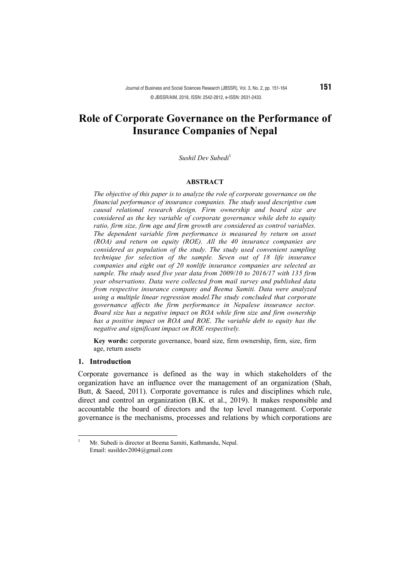# **Role of Corporate Governance on the Performance of Insurance Companies of Nepal**

#### *Sushil Dev Subedi*<sup>1</sup>

#### **ABSTRACT**

*The objective of this paper is to analyze the role of corporate governance on the financial performance of insurance companies. The study used descriptive cum causal relational research design. Firm ownership and board size are considered as the key variable of corporate governance while debt to equity ratio, firm size, firm age and firm growth are considered as control variables. The dependent variable firm performance is measured by return on asset (ROA) and return on equity (ROE). All the 40 insurance companies are considered as population of the study. The study used convenient sampling technique for selection of the sample. Seven out of 18 life insurance companies and eight out of 20 nonlife insurance companies are selected as sample. The study used five year data from 2009/10 to 2016/17 with 135 firm year observations. Data were collected from mail survey and published data from respective insurance company and Beema Samiti. Data were analyzed using a multiple linear regression model.The study concluded that corporate governance affects the firm performance in Nepalese insurance sector. Board size has a negative impact on ROA while firm size and firm ownership has a positive impact on ROA and ROE. The variable debt to equity has the negative and significant impact on ROE respectively.* 

**Key words:** corporate governance, board size, firm ownership, firm, size, firm age, return assets

#### **1. Introduction**

Corporate governance is defined as the way in which stakeholders of the organization have an influence over the management of an organization (Shah, Butt, & Saeed, 2011). Corporate governance is rules and disciplines which rule, direct and control an organization (B.K. et al., 2019). It makes responsible and accountable the board of directors and the top level management. Corporate governance is the mechanisms, processes and relations by which corporations are

 $\overline{1}$ <sup>1</sup> Mr. Subedi is director at Beema Samiti, Kathmandu, Nepal. Email: susildev2004@gmail.com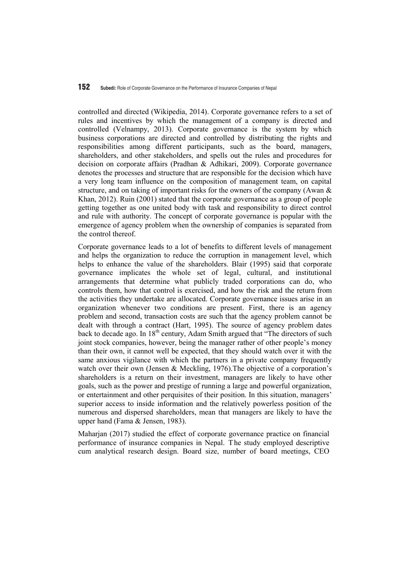#### 152 **Subedi:** Role of Corporate Governance on the Performance of Insurance Companies of Nepal

controlled and directed (Wikipedia, 2014). Corporate governance refers to a set of rules and incentives by which the management of a company is directed and controlled (Velnampy, 2013). Corporate governance is the system by which business corporations are directed and controlled by distributing the rights and responsibilities among different participants, such as the board, managers, shareholders, and other stakeholders, and spells out the rules and procedures for decision on corporate affairs (Pradhan & Adhikari, 2009). Corporate governance denotes the processes and structure that are responsible for the decision which have a very long team influence on the composition of management team, on capital structure, and on taking of important risks for the owners of the company (Awan & Khan, 2012). Ruin (2001) stated that the corporate governance as a group of people getting together as one united body with task and responsibility to direct control and rule with authority. The concept of corporate governance is popular with the emergence of agency problem when the ownership of companies is separated from the control thereof.

Corporate governance leads to a lot of benefits to different levels of management and helps the organization to reduce the corruption in management level, which helps to enhance the value of the shareholders. Blair (1995) said that corporate governance implicates the whole set of legal, cultural, and institutional arrangements that determine what publicly traded corporations can do, who controls them, how that control is exercised, and how the risk and the return from the activities they undertake are allocated. Corporate governance issues arise in an organization whenever two conditions are present. First, there is an agency problem and second, transaction costs are such that the agency problem cannot be dealt with through a contract (Hart, 1995). The source of agency problem dates back to decade ago. In  $18<sup>th</sup>$  century, Adam Smith argued that "The directors of such joint stock companies, however, being the manager rather of other people's money than their own, it cannot well be expected, that they should watch over it with the same anxious vigilance with which the partners in a private company frequently watch over their own (Jensen & Meckling, 1976). The objective of a corporation's shareholders is a return on their investment, managers are likely to have other goals, such as the power and prestige of running a large and powerful organization, or entertainment and other perquisites of their position. In this situation, managers' superior access to inside information and the relatively powerless position of the numerous and dispersed shareholders, mean that managers are likely to have the upper hand (Fama & Jensen, 1983).

Maharjan (2017) studied the effect of corporate governance practice on financial performance of insurance companies in Nepal. The study employed descriptive cum analytical research design. Board size, number of board meetings, CEO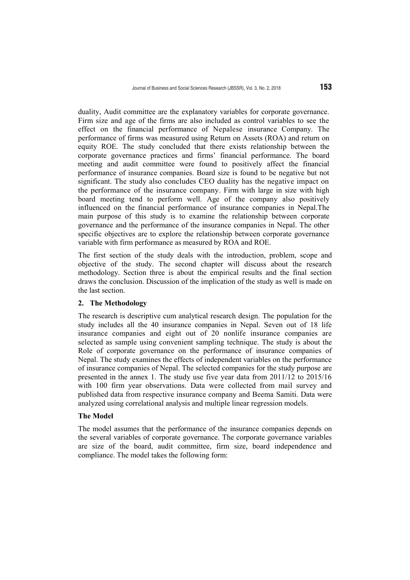duality, Audit committee are the explanatory variables for corporate governance. Firm size and age of the firms are also included as control variables to see the effect on the financial performance of Nepalese insurance Company. The performance of firms was measured using Return on Assets (ROA) and return on equity ROE. The study concluded that there exists relationship between the corporate governance practices and firms' financial performance. The board meeting and audit committee were found to positively affect the financial performance of insurance companies. Board size is found to be negative but not significant. The study also concludes CEO duality has the negative impact on the performance of the insurance company. Firm with large in size with high board meeting tend to perform well. Age of the company also positively influenced on the financial performance of insurance companies in Nepal.The main purpose of this study is to examine the relationship between corporate governance and the performance of the insurance companies in Nepal. The other specific objectives are to explore the relationship between corporate governance variable with firm performance as measured by ROA and ROE.

The first section of the study deals with the introduction, problem, scope and objective of the study. The second chapter will discuss about the research methodology. Section three is about the empirical results and the final section draws the conclusion. Discussion of the implication of the study as well is made on the last section.

#### **2. The Methodology**

The research is descriptive cum analytical research design. The population for the study includes all the 40 insurance companies in Nepal. Seven out of 18 life insurance companies and eight out of 20 nonlife insurance companies are selected as sample using convenient sampling technique. The study is about the Role of corporate governance on the performance of insurance companies of Nepal. The study examines the effects of independent variables on the performance of insurance companies of Nepal. The selected companies for the study purpose are presented in the annex 1. The study use five year data from 2011/12 to 2015/16 with 100 firm year observations. Data were collected from mail survey and published data from respective insurance company and Beema Samiti. Data were analyzed using correlational analysis and multiple linear regression models.

## **The Model**

The model assumes that the performance of the insurance companies depends on the several variables of corporate governance. The corporate governance variables are size of the board, audit committee, firm size, board independence and compliance. The model takes the following form: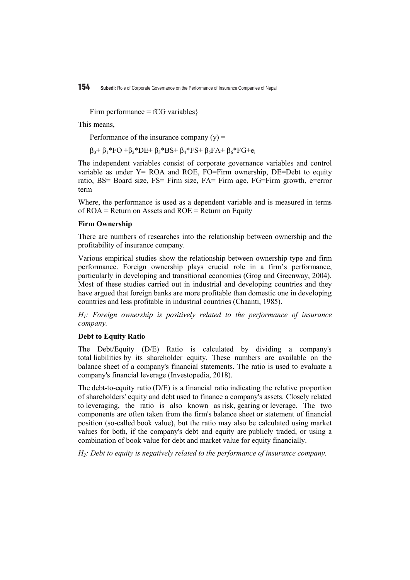154 **Subedi:** Role of Corporate Governance on the Performance of Insurance Companies of Nepal

Firm performance =  $fCG$  variables }

This means,

Performance of the insurance company  $(y)$  =

 $β_0 + β_1*FO + β_2*DE + β_3*BS + β_4*FS + β_5FA + β_6*FG + e_i$ 

The independent variables consist of corporate governance variables and control variable as under  $Y = ROA$  and ROE, FO=Firm ownership, DE=Debt to equity ratio, BS= Board size, FS= Firm size, FA= Firm age, FG=Firm growth, e=error term

Where, the performance is used as a dependent variable and is measured in terms of  $ROA = Return$  on Assets and  $ROE = Return$  on Equity

#### **Firm Ownership**

There are numbers of researches into the relationship between ownership and the profitability of insurance company.

Various empirical studies show the relationship between ownership type and firm performance. Foreign ownership plays crucial role in a firm's performance, particularly in developing and transitional economies (Grog and Greenway, 2004). Most of these studies carried out in industrial and developing countries and they have argued that foreign banks are more profitable than domestic one in developing countries and less profitable in industrial countries (Chaanti, 1985).

*H1: Foreign ownership is positively related to the performance of insurance company.* 

# **Debt to Equity Ratio**

The Debt/Equity (D/E) Ratio is calculated by dividing a company's total liabilities by its shareholder equity. These numbers are available on the balance sheet of a company's financial statements. The ratio is used to evaluate a company's financial leverage (Investopedia, 2018).

The debt-to-equity ratio (D/E) is a financial ratio indicating the relative proportion of shareholders' equity and debt used to finance a company's assets. Closely related to leveraging, the ratio is also known as risk, gearing or leverage. The two components are often taken from the firm's balance sheet or statement of financial position (so-called book value), but the ratio may also be calculated using market values for both, if the company's debt and equity are publicly traded, or using a combination of book value for debt and market value for equity financially.

*H2: Debt to equity is negatively related to the performance of insurance company.*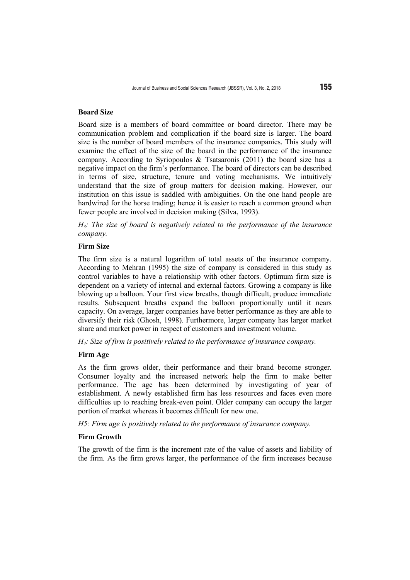## **Board Size**

Board size is a members of board committee or board director. There may be communication problem and complication if the board size is larger. The board size is the number of board members of the insurance companies. This study will examine the effect of the size of the board in the performance of the insurance company. According to Syriopoulos & Tsatsaronis (2011) the board size has a negative impact on the firm's performance. The board of directors can be described in terms of size, structure, tenure and voting mechanisms. We intuitively understand that the size of group matters for decision making. However, our institution on this issue is saddled with ambiguities. On the one hand people are hardwired for the horse trading; hence it is easier to reach a common ground when fewer people are involved in decision making (Silva, 1993).

*H3: The size of board is negatively related to the performance of the insurance company.*

## **Firm Size**

The firm size is a natural logarithm of total assets of the insurance company. According to Mehran (1995) the size of company is considered in this study as control variables to have a relationship with other factors. Optimum firm size is dependent on a variety of internal and external factors. Growing a company is like blowing up a balloon. Your first view breaths, though difficult, produce immediate results. Subsequent breaths expand the balloon proportionally until it nears capacity. On average, larger companies have better performance as they are able to diversify their risk (Ghosh, 1998). Furthermore, larger company has larger market share and market power in respect of customers and investment volume.

*H4: Size of firm is positively related to the performance of insurance company.* 

#### **Firm Age**

As the firm grows older, their performance and their brand become stronger. Consumer loyalty and the increased network help the firm to make better performance. The age has been determined by investigating of year of establishment. A newly established firm has less resources and faces even more difficulties up to reaching break-even point. Older company can occupy the larger portion of market whereas it becomes difficult for new one.

*H5: Firm age is positively related to the performance of insurance company.* 

## **Firm Growth**

The growth of the firm is the increment rate of the value of assets and liability of the firm. As the firm grows larger, the performance of the firm increases because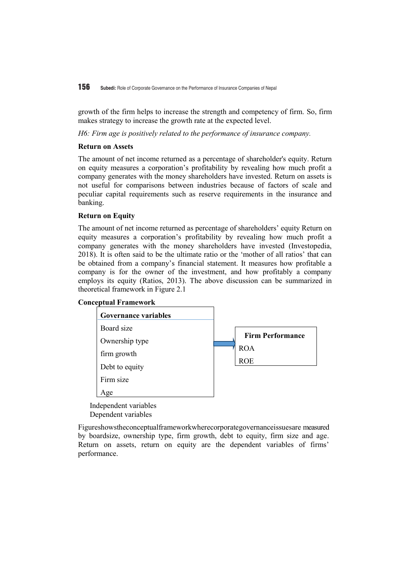growth of the firm helps to increase the strength and competency of firm. So, firm makes strategy to increase the growth rate at the expected level.

*H6: Firm age is positively related to the performance of insurance company.* 

## **Return on Assets**

The amount of net income returned as a percentage of shareholder's equity. Return on equity measures a corporation's profitability by revealing how much profit a company generates with the money shareholders have invested. Return on assets is not useful for comparisons between industries because of factors of scale and peculiar capital requirements such as reserve requirements in the insurance and banking.

## **Return on Equity**

The amount of net income returned as percentage of shareholders' equity Return on equity measures a corporation's profitability by revealing how much profit a company generates with the money shareholders have invested (Investopedia, 2018). It is often said to be the ultimate ratio or the 'mother of all ratios' that can be obtained from a company's financial statement. It measures how profitable a company is for the owner of the investment, and how profitably a company employs its equity (Ratios, 2013). The above discussion can be summarized in theoretical framework in Figure 2.1

## **Conceptual Framework**



Independent variables Dependent variables

Figureshowstheconceptualframeworkwherecorporategovernanceissuesare measured by boardsize, ownership type, firm growth, debt to equity, firm size and age. Return on assets, return on equity are the dependent variables of firms' performance.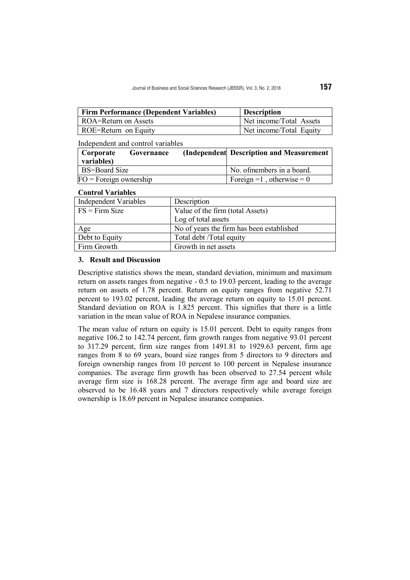| <b>Firm Performance (Dependent Variables)</b> | <b>Description</b>      |
|-----------------------------------------------|-------------------------|
| ROA=Return on Assets                          | Net income/Total Assets |
| ROE=Return on Equity                          | Net income/Total Equity |

# Independent and control variables

| Corporate<br>variables)  | Governance | (Independent Description and Measurement |
|--------------------------|------------|------------------------------------------|
| <b>BS=Board Size</b>     |            | No. of members in a board.               |
| $FO = Foreign ownership$ |            | Foreign = 1, otherwise = $0$             |

#### **Control Variables**

| <b>Independent Variables</b> | Description                               |
|------------------------------|-------------------------------------------|
| $FS = Firm Size$             | Value of the firm (total Assets)          |
|                              | Log of total assets                       |
| Age                          | No of years the firm has been established |
| Debt to Equity               | Total debt /Total equity                  |
| Firm Growth                  | Growth in net assets                      |

## **3. Result and Discussion**

Descriptive statistics shows the mean, standard deviation, minimum and maximum return on assets ranges from negative - 0.5 to 19.03 percent, leading to the average return on assets of 1.78 percent. Return on equity ranges from negative 52.71 percent to 193.02 percent, leading the average return on equity to 15.01 percent. Standard deviation on ROA is 1.825 percent. This signifies that there is a little variation in the mean value of ROA in Nepalese insurance companies.

The mean value of return on equity is 15.01 percent. Debt to equity ranges from negative 106.2 to 142.74 percent, firm growth ranges from negative 93.01 percent to 317.29 percent, firm size ranges from 1491.81 to 1929.63 percent, firm age ranges from 8 to 69 years, board size ranges from 5 directors to 9 directors and foreign ownership ranges from 10 percent to 100 percent in Nepalese insurance companies. The average firm growth has been observed to 27.54 percent while average firm size is 168.28 percent. The average firm age and board size are observed to be 16.48 years and 7 directors respectively while average foreign ownership is 18.69 percent in Nepalese insurance companies.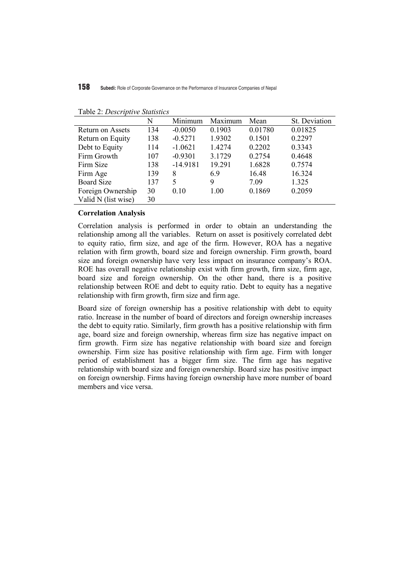|                     | N   | Minimum    | Maximum | Mean    | St. Deviation |
|---------------------|-----|------------|---------|---------|---------------|
| Return on Assets    | 134 | $-0.0050$  | 0.1903  | 0.01780 | 0.01825       |
| Return on Equity    | 138 | $-0.5271$  | 1.9302  | 0.1501  | 0.2297        |
| Debt to Equity      | 114 | $-1.0621$  | 1.4274  | 0.2202  | 0.3343        |
| Firm Growth         | 107 | $-0.9301$  | 3.1729  | 0.2754  | 0.4648        |
| Firm Size           | 138 | $-14.9181$ | 19.291  | 1.6828  | 0.7574        |
| Firm Age            | 139 | 8          | 6.9     | 16.48   | 16.324        |
| <b>Board Size</b>   | 137 | 5          | 9       | 7.09    | 1.325         |
| Foreign Ownership   | 30  | 0.10       | 1.00    | 0.1869  | 0.2059        |
| Valid N (list wise) | 30  |            |         |         |               |

Table 2: *Descriptive Statistics*

## **Correlation Analysis**

Correlation analysis is performed in order to obtain an understanding the relationship among all the variables. Return on asset is positively correlated debt to equity ratio, firm size, and age of the firm. However, ROA has a negative relation with firm growth, board size and foreign ownership. Firm growth, board size and foreign ownership have very less impact on insurance company's ROA. ROE has overall negative relationship exist with firm growth, firm size, firm age, board size and foreign ownership. On the other hand, there is a positive relationship between ROE and debt to equity ratio. Debt to equity has a negative relationship with firm growth, firm size and firm age.

Board size of foreign ownership has a positive relationship with debt to equity ratio. Increase in the number of board of directors and foreign ownership increases the debt to equity ratio. Similarly, firm growth has a positive relationship with firm age, board size and foreign ownership, whereas firm size has negative impact on firm growth. Firm size has negative relationship with board size and foreign ownership. Firm size has positive relationship with firm age. Firm with longer period of establishment has a bigger firm size. The firm age has negative relationship with board size and foreign ownership. Board size has positive impact on foreign ownership. Firms having foreign ownership have more number of board members and vice versa.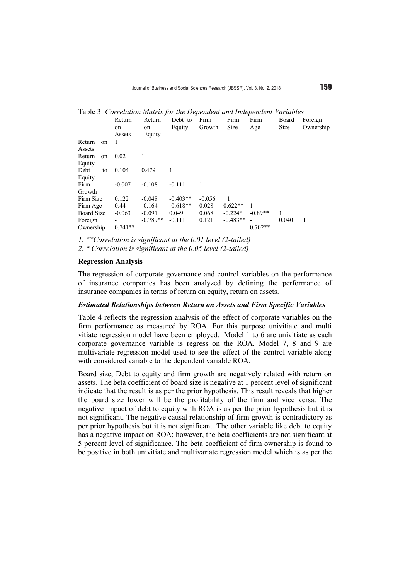Table 3: *Correlation Matrix for the Dependent and Independent Variables*

|                   | Return    | Return     | Debt to    | Firm     | Firm       | Firm      | Board | Foreign   |
|-------------------|-----------|------------|------------|----------|------------|-----------|-------|-----------|
|                   | on        | on         | Equity     | Growth   | Size       | Age       | Size  | Ownership |
|                   | Assets    | Equity     |            |          |            |           |       |           |
| Return<br>on      |           |            |            |          |            |           |       |           |
| Assets            |           |            |            |          |            |           |       |           |
| Return<br>on      | 0.02      |            |            |          |            |           |       |           |
| Equity            |           |            |            |          |            |           |       |           |
| Debt<br>to        | 0.104     | 0.479      |            |          |            |           |       |           |
| Equity            |           |            |            |          |            |           |       |           |
| Firm              | $-0.007$  | $-0.108$   | $-0.111$   |          |            |           |       |           |
| Growth            |           |            |            |          |            |           |       |           |
| Firm Size         | 0.122     | $-0.048$   | $-0.403**$ | $-0.056$ |            |           |       |           |
| Firm Age          | 0.44      | $-0.164$   | $-0.618**$ | 0.028    | $0.622**$  | 1         |       |           |
| <b>Board Size</b> | $-0.063$  | $-0.091$   | 0.049      | 0.068    | $-0.224*$  | $-0.89**$ | 1     |           |
| Foreign           |           | $-0.789**$ | $-0.111$   | 0.121    | $-0.483**$ |           | 0.040 | 1         |
| Ownership         | $0.741**$ |            |            |          |            | $0.702**$ |       |           |

*1. \*\*Correlation is significant at the 0.01 level (2-tailed)*

*2. \* Correlation is significant at the 0.05 level (2-tailed)* 

# **Regression Analysis**

The regression of corporate governance and control variables on the performance of insurance companies has been analyzed by defining the performance of insurance companies in terms of return on equity, return on assets.

## *Estimated Relationships between Return on Assets and Firm Specific Variables*

Table 4 reflects the regression analysis of the effect of corporate variables on the firm performance as measured by ROA. For this purpose univitiate and multi vitiate regression model have been employed. Model 1 to 6 are univitiate as each corporate governance variable is regress on the ROA. Model 7, 8 and 9 are multivariate regression model used to see the effect of the control variable along with considered variable to the dependent variable ROA.

Board size, Debt to equity and firm growth are negatively related with return on assets. The beta coefficient of board size is negative at 1 percent level of significant indicate that the result is as per the prior hypothesis. This result reveals that higher the board size lower will be the profitability of the firm and vice versa. The negative impact of debt to equity with ROA is as per the prior hypothesis but it is not significant. The negative causal relationship of firm growth is contradictory as per prior hypothesis but it is not significant. The other variable like debt to equity has a negative impact on ROA; however, the beta coefficients are not significant at 5 percent level of significance. The beta coefficient of firm ownership is found to be positive in both univitiate and multivariate regression model which is as per the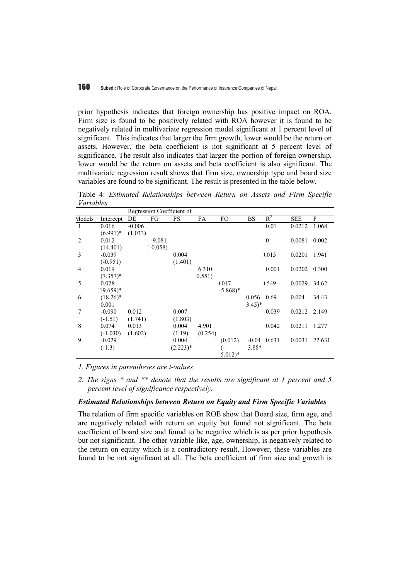prior hypothesis indicates that foreign ownership has positive impact on ROA. Firm size is found to be positively related with ROA however it is found to be negatively related in multivariate regression model significant at 1 percent level of significant. This indicates that larger the firm growth, lower would be the return on assets. However, the beta coefficient is not significant at 5 percent level of significance. The result also indicates that larger the portion of foreign ownership, lower would be the return on assets and beta coefficient is also significant. The multivariate regression result shows that firm size, ownership type and board size variables are found to be significant. The result is presented in the table below.

Table 4: *Estimated Relationships between Return on Assets and Firm Specific Variables*

|                |              |          |          | Regression Coefficient of |           |                       |            |          |              |        |
|----------------|--------------|----------|----------|---------------------------|-----------|-----------------------|------------|----------|--------------|--------|
| Models         | Intercept    | DE       | FG       | FS                        | <b>FA</b> | FO.                   | <b>BS</b>  | $R^2$    | <b>SEE</b>   | F      |
| 1              | 0.016        | $-0.006$ |          |                           |           |                       |            | 0.01     | 0.0212       | 1.068  |
|                | $(6.991)^*$  | (1.033)  |          |                           |           |                       |            |          |              |        |
| 2              | 0.012        |          | $-9.081$ |                           |           |                       |            | $\theta$ | 0.0081       | 0.002  |
|                | (14.401)     |          | $-0.058$ |                           |           |                       |            |          |              |        |
| 3              | $-0.039$     |          |          | 0.004                     |           |                       |            | 0.015    | 0.0201       | 1.941  |
|                | $(-0.951)$   |          |          | (1.401)                   |           |                       |            |          |              |        |
| $\overline{4}$ | 0.019        |          |          |                           | 6.310     |                       |            | 0.001    | 0.0202       | 0.300  |
|                | $(7.357)^*$  |          |          |                           | 0.551)    |                       |            |          |              |        |
| 5              | 0.028        |          |          |                           |           | 0.017                 |            | 0.549    | 0.0029       | 34.62  |
|                | $(19.659)^*$ |          |          |                           |           | $-5.868$ <sup>*</sup> |            |          |              |        |
| 6              | $(18.26)^*$  |          |          |                           |           |                       | 0.056      | 0.69     | 0.004        | 34.43  |
|                | 0.001        |          |          |                           |           |                       | $(3.45)^*$ |          |              |        |
| 7              | $-0.090$     | 0.012    |          | 0.007                     |           |                       |            | 0.039    | 0.0212 2.149 |        |
|                | $(-1.51)$    | (1.741)  |          | (1.803)                   |           |                       |            |          |              |        |
| 8              | 0.074        | 0.013    |          | 0.004                     | 4.901     |                       |            | 0.042    | 0.0211       | 1.277  |
|                | $(-1.030)$   | (1.602)  |          | (1.19)                    | (0.254)   |                       |            |          |              |        |
| 9              | $-0.029$     |          |          | 0.004                     |           | (0.012)               | $-0.04$    | 0.631    | 0.0031       | 22.631 |
|                | $(-1.3)$     |          |          | $(2.223)^*$               |           | (-                    | 3.88*      |          |              |        |
|                |              |          |          |                           |           | $5.012)*$             |            |          |              |        |

*1. Figures in parentheses are t-values*

*2. The signs \* and \*\* denote that the results are significant at 1 percent and 5 percent level of significance respectively.* 

#### *Estimated Relationships between Return on Equity and Firm Specific Variables*

The relation of firm specific variables on ROE show that Board size, firm age, and are negatively related with return on equity but found not significant. The beta coefficient of board size and found to be negative which is as per prior hypothesis but not significant. The other variable like, age, ownership, is negatively related to the return on equity which is a contradictory result. However, these variables are found to be not significant at all. The beta coefficient of firm size and growth is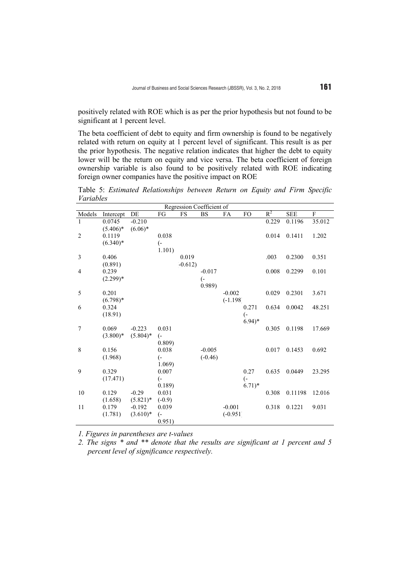positively related with ROE which is as per the prior hypothesis but not found to be significant at 1 percent level.

The beta coefficient of debt to equity and firm ownership is found to be negatively related with return on equity at 1 percent level of significant. This result is as per the prior hypothesis. The negative relation indicates that higher the debt to equity lower will be the return on equity and vice versa. The beta coefficient of foreign ownership variable is also found to be positively related with ROE indicating foreign owner companies have the positive impact on ROE

Table 5: *Estimated Relationships between Return on Equity and Firm Specific Variables*

|                | Regression Coefficient of |                        |                              |          |                  |                        |                     |       |            |             |
|----------------|---------------------------|------------------------|------------------------------|----------|------------------|------------------------|---------------------|-------|------------|-------------|
| Models         | Intercept                 | $\rm{DE}$              | ${\mathcal{F}}{\mathcal{G}}$ | FS       | $_{\rm BS}$      | FA                     | FO                  | $R^2$ | <b>SEE</b> | $\mathbf F$ |
| $\mathbf{1}$   | 0.0745                    | $-0.210$               |                              |          |                  |                        |                     | 0.229 | 0.1196     | 35.012      |
|                | $(5.406)*$                | $(6.06)^*$             |                              |          |                  |                        |                     |       |            |             |
| $\overline{2}$ | 0.1119                    |                        | 0.038                        |          |                  |                        |                     | 0.014 | 0.1411     | 1.202       |
|                | $(6.340)*$                |                        | $\overline{(-)}$             |          |                  |                        |                     |       |            |             |
|                |                           |                        | 1.101)                       |          |                  |                        |                     |       |            |             |
| 3              | 0.406                     |                        |                              | 0.019    |                  |                        |                     | .003  | 0.2300     | 0.351       |
|                | (0.891)                   |                        |                              | $-0.612$ |                  |                        |                     |       |            |             |
| $\overline{4}$ | 0.239                     |                        |                              |          | $-0.017$         |                        |                     | 0.008 | 0.2299     | 0.101       |
|                | $(2.299)*$                |                        |                              |          | $\overline{(-)}$ |                        |                     |       |            |             |
|                |                           |                        |                              |          | 0.989            |                        |                     |       |            |             |
| 5              | 0.201                     |                        |                              |          |                  | $-0.002$               |                     | 0.029 | 0.2301     | 3.671       |
|                | $(6.798)*$                |                        |                              |          |                  | $(-1.198)$             |                     |       |            |             |
| 6              | 0.324                     |                        |                              |          |                  |                        | 0.271               | 0.634 | 0.0042     | 48.251      |
|                | (18.91)                   |                        |                              |          |                  |                        | $\overline{(-)}$    |       |            |             |
|                |                           |                        |                              |          |                  |                        | $6.94$ <sup>*</sup> |       |            |             |
| $\overline{7}$ | 0.069                     | $-0.223$               | 0.031                        |          |                  |                        |                     | 0.305 | 0.1198     | 17.669      |
|                | $(3.800)*$                | $(5.804)*$             | $\left( -\right)$            |          |                  |                        |                     |       |            |             |
|                |                           |                        | 0.809)                       |          |                  |                        |                     |       |            |             |
| 8              | 0.156                     |                        | 0.038                        |          | $-0.005$         |                        |                     | 0.017 | 0.1453     | 0.692       |
|                | (1.968)                   |                        | (-                           |          | $(-0.46)$        |                        |                     |       |            |             |
|                |                           |                        | 1.069)                       |          |                  |                        |                     |       |            |             |
| 9              | 0.329                     |                        | 0.007                        |          |                  |                        | 0.27                | 0.635 | 0.0449     | 23.295      |
|                | (17.471)                  |                        | <sub>(-</sub>                |          |                  |                        | $\overline{(-)}$    |       |            |             |
| 10             | 0.129                     | $-0.29$                | 0.189<br>0.031               |          |                  |                        | $6.71)*$            | 0.308 | 0.11198    | 12.016      |
|                |                           |                        |                              |          |                  |                        |                     |       |            |             |
|                | (1.658)                   | $(5.821)^*$            | $(-0.9)$                     |          |                  |                        |                     |       |            |             |
| 11             | 0.179<br>(1.781)          | $-0.192$<br>$(3.610)*$ | 0.039                        |          |                  | $-0.001$<br>$(-0.951)$ |                     | 0.318 | 0.1221     | 9.031       |
|                |                           |                        | <sub>(-</sub>                |          |                  |                        |                     |       |            |             |
|                |                           |                        | 0.951)                       |          |                  |                        |                     |       |            |             |

*1. Figures in parentheses are t-values* 

*2. The signs \* and \*\* denote that the results are significant at 1 percent and 5 percent level of significance respectively.*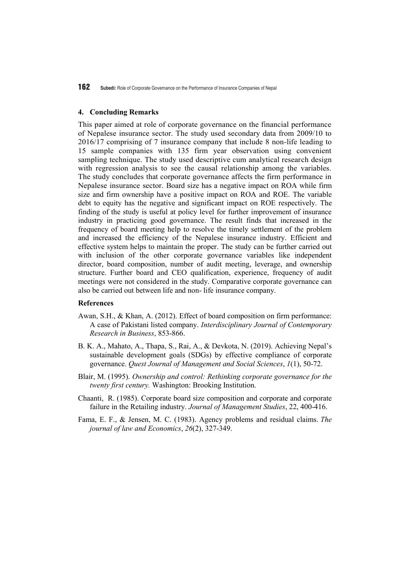#### **4. Concluding Remarks**

This paper aimed at role of corporate governance on the financial performance of Nepalese insurance sector. The study used secondary data from 2009/10 to 2016/17 comprising of 7 insurance company that include 8 non-life leading to 15 sample companies with 135 firm year observation using convenient sampling technique. The study used descriptive cum analytical research design with regression analysis to see the causal relationship among the variables. The study concludes that corporate governance affects the firm performance in Nepalese insurance sector. Board size has a negative impact on ROA while firm size and firm ownership have a positive impact on ROA and ROE. The variable debt to equity has the negative and significant impact on ROE respectively. The finding of the study is useful at policy level for further improvement of insurance industry in practicing good governance. The result finds that increased in the frequency of board meeting help to resolve the timely settlement of the problem and increased the efficiency of the Nepalese insurance industry. Efficient and effective system helps to maintain the proper. The study can be further carried out with inclusion of the other corporate governance variables like independent director, board composition, number of audit meeting, leverage, and ownership structure. Further board and CEO qualification, experience, frequency of audit meetings were not considered in the study. Comparative corporate governance can also be carried out between life and non- life insurance company.

#### **References**

- Awan, S.H., & Khan, A. (2012). Effect of board composition on firm performance: A case of Pakistani listed company. *Interdisciplinary Journal of Contemporary Research in Business*, 853-866.
- B. K. A., Mahato, A., Thapa, S., Rai, A., & Devkota, N. (2019). Achieving Nepal's sustainable development goals (SDGs) by effective compliance of corporate governance. *Quest Journal of Management and Social Sciences*, *1*(1), 50-72.
- Blair, M. (1995). *Ownership and control: Rethinking corporate governance for the twenty first century.* Washington: Brooking Institution.
- Chaanti, R. (1985). Corporate board size composition and corporate and corporate failure in the Retailing industry. *Journal of Management Studies*, 22, 400-416.
- Fama, E. F., & Jensen, M. C. (1983). Agency problems and residual claims. *The journal of law and Economics*, *26*(2), 327-349.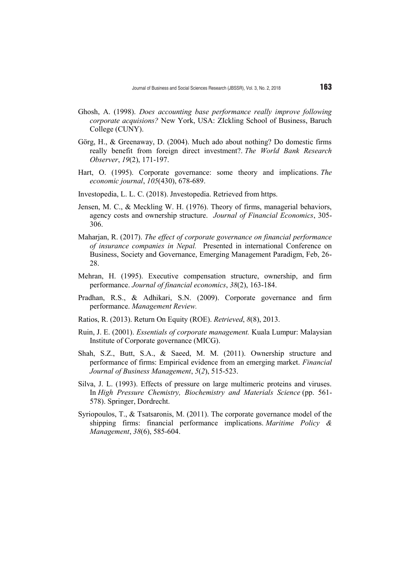- Ghosh, A. (1998). *Does accounting base performance really improve following corporate acquisions?* New York, USA: ZIckling School of Business, Baruch College (CUNY).
- Görg, H., & Greenaway, D. (2004). Much ado about nothing? Do domestic firms really benefit from foreign direct investment?. *The World Bank Research Observer*, *19*(2), 171-197.
- Hart, O. (1995). Corporate governance: some theory and implications. *The economic journal*, *105*(430), 678-689.
- Investopedia, L. L. C. (2018). Jnvestopedia. Retrieved from https.
- Jensen, M. C., & Meckling W. H. (1976). Theory of firms, managerial behaviors, agency costs and ownership structure. *Journal of Financial Economics*, 305- 306.
- Maharjan, R. (2017). *The effect of corporate governance on financial performance of insurance companies in Nepal.* Presented in international Conference on Business, Society and Governance, Emerging Management Paradigm, Feb, 26- 28.
- Mehran, H. (1995). Executive compensation structure, ownership, and firm performance. *Journal of financial economics*, *38*(2), 163-184.
- Pradhan, R.S., & Adhikari, S.N. (2009). Corporate governance and firm performance. *Management Review.*
- Ratios, R. (2013). Return On Equity (ROE). *Retrieved*, *8*(8), 2013.
- Ruin, J. E. (2001). *Essentials of corporate management.* Kuala Lumpur: Malaysian Institute of Corporate governance (MICG).
- Shah, S.Z., Butt, S.A., & Saeed, M. M. (2011). Ownership structure and performance of firms: Empirical evidence from an emerging market. *Financial Journal of Business Management*, *5*(*2*), 515-523.
- Silva, J. L. (1993). Effects of pressure on large multimeric proteins and viruses. In *High Pressure Chemistry, Biochemistry and Materials Science* (pp. 561- 578). Springer, Dordrecht.
- Syriopoulos, T., & Tsatsaronis, M. (2011). The corporate governance model of the shipping firms: financial performance implications. *Maritime Policy & Management*, *38*(6), 585-604.